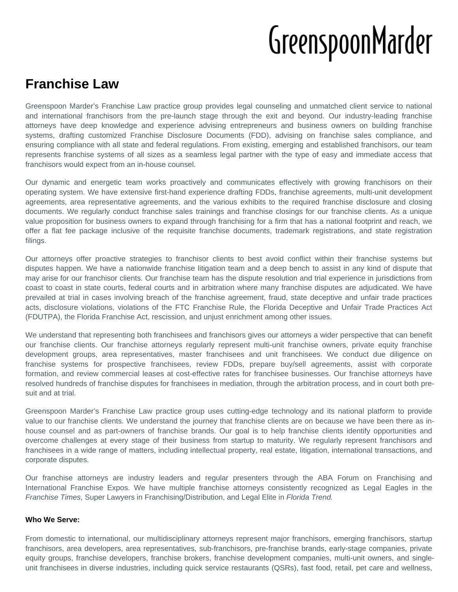# GreenspoonMarder

# **Franchise Law**

Greenspoon Marder's Franchise Law practice group provides legal counseling and unmatched client service to national and international franchisors from the pre-launch stage through the exit and beyond. Our industry-leading franchise attorneys have deep knowledge and experience advising entrepreneurs and business owners on building franchise systems, drafting customized Franchise Disclosure Documents (FDD), advising on franchise sales compliance, and ensuring compliance with all state and federal regulations. From existing, emerging and established franchisors, our team represents franchise systems of all sizes as a seamless legal partner with the type of easy and immediate access that franchisors would expect from an in-house counsel.

Our dynamic and energetic team works proactively and communicates effectively with growing franchisors on their operating system. We have extensive first-hand experience drafting FDDs, franchise agreements, multi-unit development agreements, area representative agreements, and the various exhibits to the required franchise disclosure and closing documents. We regularly conduct franchise sales trainings and franchise closings for our franchise clients. As a unique value proposition for business owners to expand through franchising for a firm that has a national footprint and reach, we offer a flat fee package inclusive of the requisite franchise documents, trademark registrations, and state registration filings.

Our attorneys offer proactive strategies to franchisor clients to best avoid conflict within their franchise systems but disputes happen. We have a nationwide franchise litigation team and a deep bench to assist in any kind of dispute that may arise for our franchisor clients. Our franchise team has the dispute resolution and trial experience in jurisdictions from coast to coast in state courts, federal courts and in arbitration where many franchise disputes are adjudicated. We have prevailed at trial in cases involving breach of the franchise agreement, fraud, state deceptive and unfair trade practices acts, disclosure violations, violations of the FTC Franchise Rule, the Florida Deceptive and Unfair Trade Practices Act (FDUTPA), the Florida Franchise Act, rescission, and unjust enrichment among other issues.

We understand that representing both franchisees and franchisors gives our attorneys a wider perspective that can benefit our franchise clients. Our franchise attorneys regularly represent multi-unit franchise owners, private equity franchise development groups, area representatives, master franchisees and unit franchisees. We conduct due diligence on franchise systems for prospective franchisees, review FDDs, prepare buy/sell agreements, assist with corporate formation, and review commercial leases at cost-effective rates for franchisee businesses. Our franchise attorneys have resolved hundreds of franchise disputes for franchisees in mediation, through the arbitration process, and in court both presuit and at trial.

Greenspoon Marder's Franchise Law practice group uses cutting-edge technology and its national platform to provide value to our franchise clients. We understand the journey that franchise clients are on because we have been there as inhouse counsel and as part-owners of franchise brands. Our goal is to help franchise clients identify opportunities and overcome challenges at every stage of their business from startup to maturity. We regularly represent franchisors and franchisees in a wide range of matters, including intellectual property, real estate, litigation, international transactions, and corporate disputes.

Our franchise attorneys are industry leaders and regular presenters through the ABA Forum on Franchising and International Franchise Expos. We have multiple franchise attorneys consistently recognized as Legal Eagles in the Franchise Times, Super Lawyers in Franchising/Distribution, and Legal Elite in Florida Trend.

# **Who We Serve:**

From domestic to international, our multidisciplinary attorneys represent major franchisors, emerging franchisors, startup franchisors, area developers, area representatives, sub-franchisors, pre-franchise brands, early-stage companies, private equity groups, franchise developers, franchise brokers, franchise development companies, multi-unit owners, and singleunit franchisees in diverse industries, including quick service restaurants (QSRs), fast food, retail, pet care and wellness,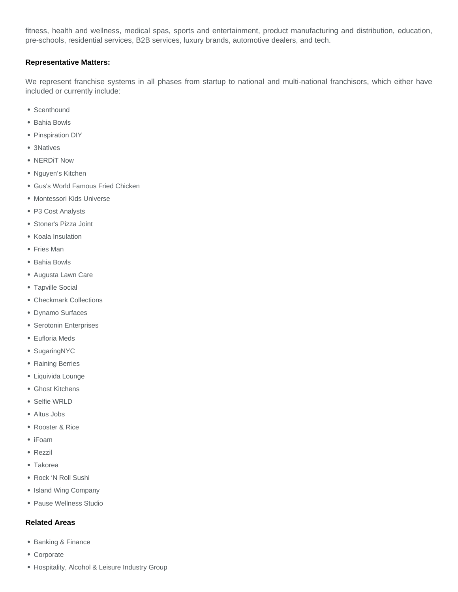fitness, health and wellness, medical spas, sports and entertainment, product manufacturing and distribution, education, pre-schools, residential services, B2B services, luxury brands, automotive dealers, and tech.

#### **Representative Matters:**

We represent franchise systems in all phases from startup to national and multi-national franchisors, which either have included or currently include:

- Scenthound
- Bahia Bowls
- Pinspiration DIY
- 3Natives
- NERDIT Now
- Nguyen's Kitchen
- Gus's World Famous Fried Chicken
- Montessori Kids Universe
- P3 Cost Analysts
- Stoner's Pizza Joint
- Koala Insulation
- Fries Man
- Bahia Bowls
- Augusta Lawn Care
- Tapville Social
- Checkmark Collections
- Dynamo Surfaces
- Serotonin Enterprises
- Eufloria Meds
- SugaringNYC
- Raining Berries
- Liquivida Lounge
- Ghost Kitchens
- Selfie WRLD
- Altus Jobs
- Rooster & Rice
- iFoam
- Rezzil
- Takorea
- Rock 'N Roll Sushi
- Island Wing Company
- Pause Wellness Studio

# **Related Areas**

- Banking & Finance
- Corporate
- Hospitality, Alcohol & Leisure Industry Group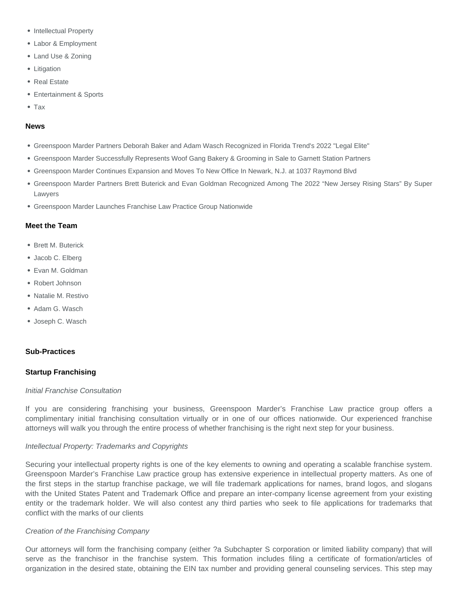- Intellectual Property
- Labor & Employment
- Land Use & Zoning
- Litigation
- Real Estate
- Entertainment & Sports
- Tax

#### **News**

- Greenspoon Marder Partners Deborah Baker and Adam Wasch Recognized in Florida Trend's 2022 "Legal Elite"
- Greenspoon Marder Successfully Represents Woof Gang Bakery & Grooming in Sale to Garnett Station Partners
- Greenspoon Marder Continues Expansion and Moves To New Office In Newark, N.J. at 1037 Raymond Blvd
- Greenspoon Marder Partners Brett Buterick and Evan Goldman Recognized Among The 2022 "New Jersey Rising Stars" By Super Lawyers
- Greenspoon Marder Launches Franchise Law Practice Group Nationwide

#### **Meet the Team**

- Brett M. Buterick
- Jacob C. Elberg
- Evan M. Goldman
- Robert Johnson
- · Natalie M. Restivo
- Adam G. Wasch
- Joseph C. Wasch

#### **Sub-Practices**

# **Startup Franchising**

#### Initial Franchise Consultation

If you are considering franchising your business, Greenspoon Marder's Franchise Law practice group offers a complimentary initial franchising consultation virtually or in one of our offices nationwide. Our experienced franchise attorneys will walk you through the entire process of whether franchising is the right next step for your business.

#### Intellectual Property: Trademarks and Copyrights

Securing your intellectual property rights is one of the key elements to owning and operating a scalable franchise system. Greenspoon Marder's Franchise Law practice group has extensive experience in intellectual property matters. As one of the first steps in the startup franchise package, we will file trademark applications for names, brand logos, and slogans with the United States Patent and Trademark Office and prepare an inter-company license agreement from your existing entity or the trademark holder. We will also contest any third parties who seek to file applications for trademarks that conflict with the marks of our clients

#### Creation of the Franchising Company

Our attorneys will form the franchising company (either ?a Subchapter S corporation or limited liability company) that will serve as the franchisor in the franchise system. This formation includes filing a certificate of formation/articles of organization in the desired state, obtaining the EIN tax number and providing general counseling services. This step may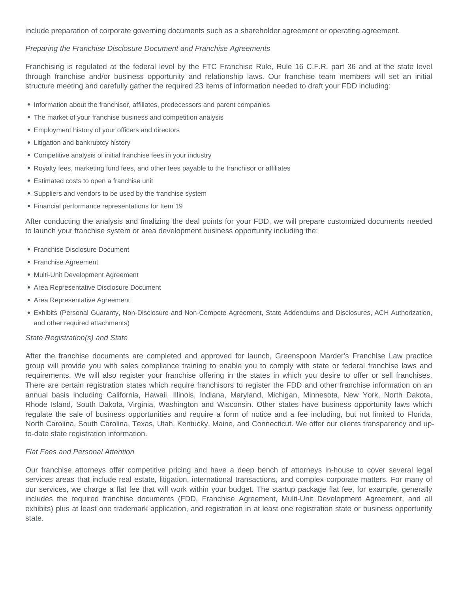include preparation of corporate governing documents such as a shareholder agreement or operating agreement.

#### Preparing the Franchise Disclosure Document and Franchise Agreements

Franchising is regulated at the federal level by the FTC Franchise Rule, Rule 16 C.F.R. part 36 and at the state level through franchise and/or business opportunity and relationship laws. Our franchise team members will set an initial structure meeting and carefully gather the required 23 items of information needed to draft your FDD including:

- Information about the franchisor, affiliates, predecessors and parent companies
- The market of your franchise business and competition analysis
- Employment history of your officers and directors
- Litigation and bankruptcy history
- Competitive analysis of initial franchise fees in your industry
- Royalty fees, marketing fund fees, and other fees payable to the franchisor or affiliates
- Estimated costs to open a franchise unit
- Suppliers and vendors to be used by the franchise system
- Financial performance representations for Item 19

After conducting the analysis and finalizing the deal points for your FDD, we will prepare customized documents needed to launch your franchise system or area development business opportunity including the:

- Franchise Disclosure Document
- Franchise Agreement
- Multi-Unit Development Agreement
- Area Representative Disclosure Document
- Area Representative Agreement
- Exhibits (Personal Guaranty, Non-Disclosure and Non-Compete Agreement, State Addendums and Disclosures, ACH Authorization, and other required attachments)

#### State Registration(s) and State

After the franchise documents are completed and approved for launch, Greenspoon Marder's Franchise Law practice group will provide you with sales compliance training to enable you to comply with state or federal franchise laws and requirements. We will also register your franchise offering in the states in which you desire to offer or sell franchises. There are certain registration states which require franchisors to register the FDD and other franchise information on an annual basis including California, Hawaii, Illinois, Indiana, Maryland, Michigan, Minnesota, New York, North Dakota, Rhode Island, South Dakota, Virginia, Washington and Wisconsin. Other states have business opportunity laws which regulate the sale of business opportunities and require a form of notice and a fee including, but not limited to Florida, North Carolina, South Carolina, Texas, Utah, Kentucky, Maine, and Connecticut. We offer our clients transparency and upto-date state registration information.

#### Flat Fees and Personal Attention

Our franchise attorneys offer competitive pricing and have a deep bench of attorneys in-house to cover several legal services areas that include real estate, litigation, international transactions, and complex corporate matters. For many of our services, we charge a flat fee that will work within your budget. The startup package flat fee, for example, generally includes the required franchise documents (FDD, Franchise Agreement, Multi-Unit Development Agreement, and all exhibits) plus at least one trademark application, and registration in at least one registration state or business opportunity state.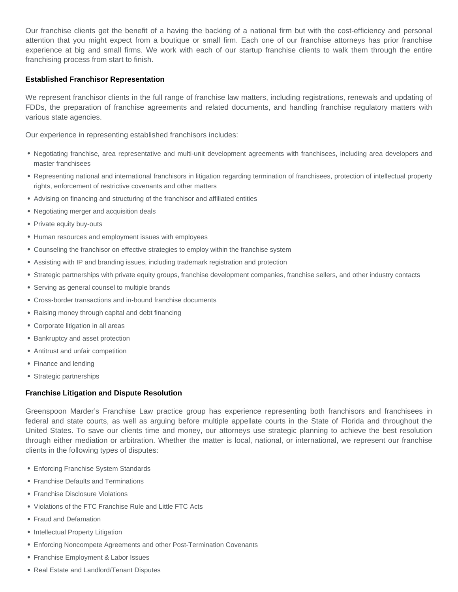Our franchise clients get the benefit of a having the backing of a national firm but with the cost-efficiency and personal attention that you might expect from a boutique or small firm. Each one of our franchise attorneys has prior franchise experience at big and small firms. We work with each of our startup franchise clients to walk them through the entire franchising process from start to finish.

#### **Established Franchisor Representation**

We represent franchisor clients in the full range of franchise law matters, including registrations, renewals and updating of FDDs, the preparation of franchise agreements and related documents, and handling franchise regulatory matters with various state agencies.

Our experience in representing established franchisors includes:

- Negotiating franchise, area representative and multi-unit development agreements with franchisees, including area developers and master franchisees
- Representing national and international franchisors in litigation regarding termination of franchisees, protection of intellectual property rights, enforcement of restrictive covenants and other matters
- Advising on financing and structuring of the franchisor and affiliated entities
- Negotiating merger and acquisition deals
- Private equity buy-outs
- Human resources and employment issues with employees
- Counseling the franchisor on effective strategies to employ within the franchise system
- Assisting with IP and branding issues, including trademark registration and protection
- Strategic partnerships with private equity groups, franchise development companies, franchise sellers, and other industry contacts
- Serving as general counsel to multiple brands
- Cross-border transactions and in-bound franchise documents
- Raising money through capital and debt financing
- Corporate litigation in all areas
- Bankruptcy and asset protection
- Antitrust and unfair competition
- Finance and lending
- Strategic partnerships

#### **Franchise Litigation and Dispute Resolution**

Greenspoon Marder's Franchise Law practice group has experience representing both franchisors and franchisees in federal and state courts, as well as arguing before multiple appellate courts in the State of Florida and throughout the United States. To save our clients time and money, our attorneys use strategic planning to achieve the best resolution through either mediation or arbitration. Whether the matter is local, national, or international, we represent our franchise clients in the following types of disputes:

- Enforcing Franchise System Standards
- Franchise Defaults and Terminations
- Franchise Disclosure Violations
- Violations of the FTC Franchise Rule and Little FTC Acts
- Fraud and Defamation
- Intellectual Property Litigation
- Enforcing Noncompete Agreements and other Post-Termination Covenants
- Franchise Employment & Labor Issues
- Real Estate and Landlord/Tenant Disputes